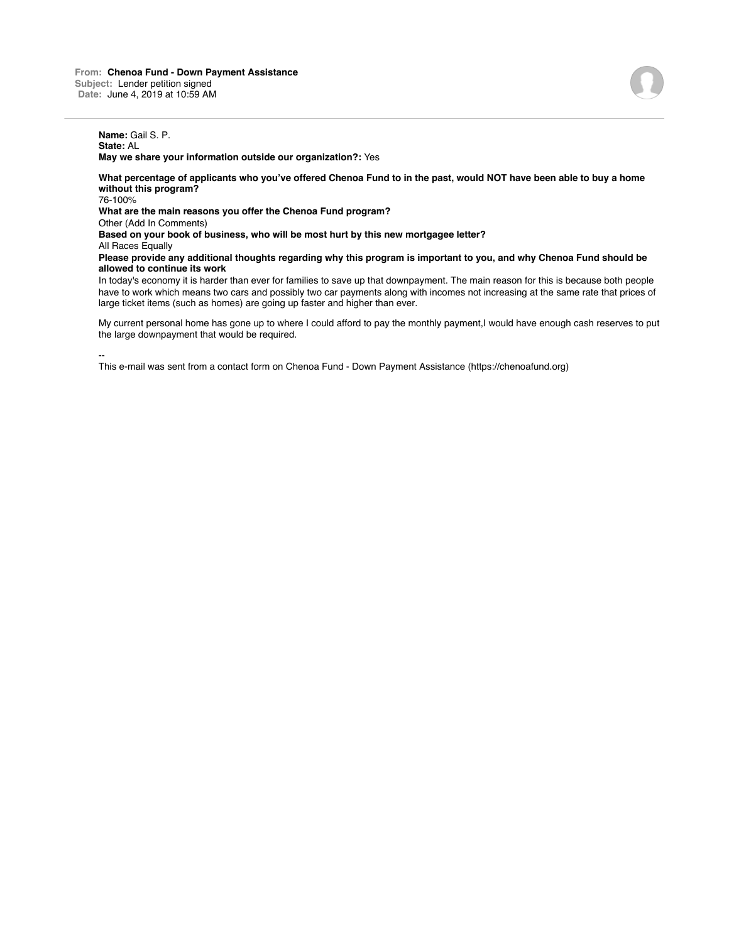## **Name:** Gail S. P. **State:** AL

**May we share your information outside our organization?:** Yes

**What percentage of applicants who you've offered Chenoa Fund to in the past, would NOT have been able to buy a home without this program?**

76-100%

**What are the main reasons you offer the Chenoa Fund program?**

Other (Add In Comments)

**Based on your book of business, who will be most hurt by this new mortgagee letter?**

**All Races Equally** 

**Please provide any additional thoughts regarding why this program is important to you, and why Chenoa Fund should be allowed to continue its work**

In today's economy it is harder than ever for families to save up that downpayment. The main reason for this is because both people have to work which means two cars and possibly two car payments along with incomes not increasing at the same rate that prices of large ticket items (such as homes) are going up faster and higher than ever.

My current personal home has gone up to where I could afford to pay the monthly payment,I would have enough cash reserves to put the large downpayment that would be required.

-- This e-mail was sent from a contact form on Chenoa Fund - Down Payment Assistance (https://chenoafund.org)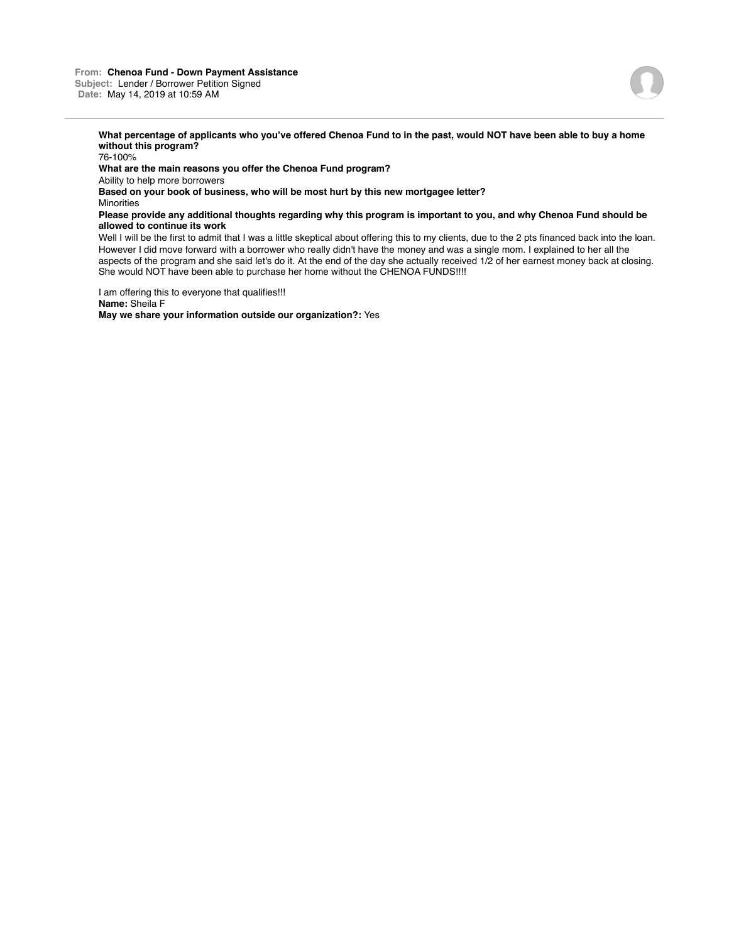

**What percentage of applicants who you've offered Chenoa Fund to in the past, would NOT have been able to buy a home without this program?**

76-100% **What are the main reasons you offer the Chenoa Fund program?** Ability to help more borrowers **Based on your book of business, who will be most hurt by this new mortgagee letter? Minorities Please provide any additional thoughts regarding why this program is important to you, and why Chenoa Fund should be allowed to continue its work**

Well I will be the first to admit that I was a little skeptical about offering this to my clients, due to the 2 pts financed back into the loan. However I did move forward with a borrower who really didn't have the money and was a single mom. I explained to her all the aspects of the program and she said let's do it. At the end of the day she actually received 1/2 of her earnest money back at closing. She would NOT have been able to purchase her home without the CHENOA FUNDS!!!!

I am offering this to everyone that qualifies!!! **Name:** Sheila F **May we share your information outside our organization?:** Yes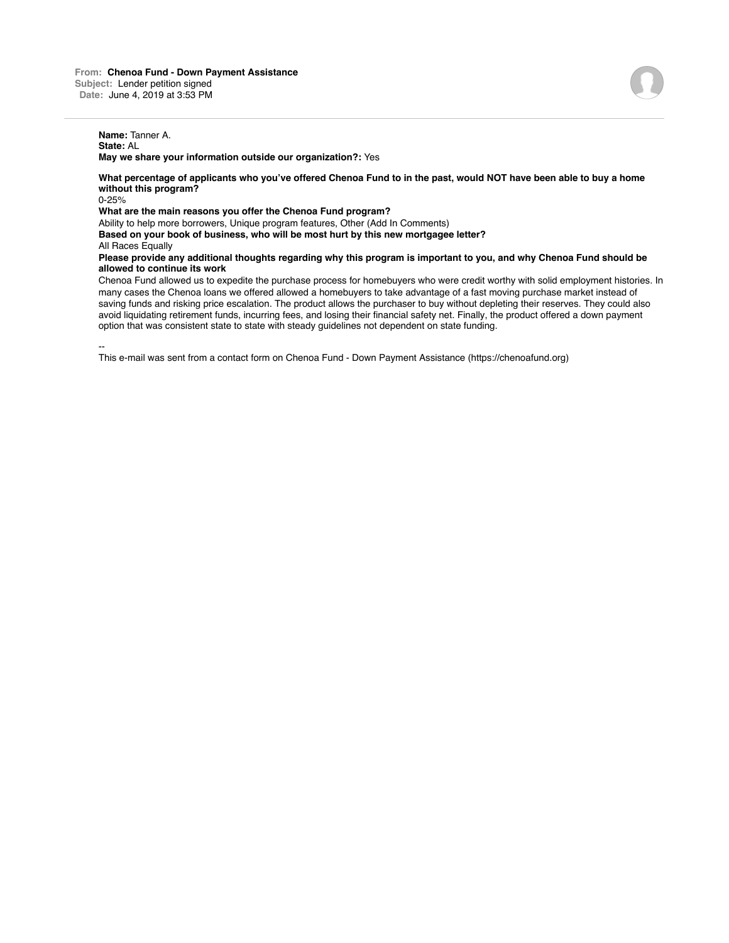## **Name:** Tanner A. **State:** AL

**May we share your information outside our organization?:** Yes

**What percentage of applicants who you've offered Chenoa Fund to in the past, would NOT have been able to buy a home without this program?**

0-25%

**What are the main reasons you offer the Chenoa Fund program?**

Ability to help more borrowers, Unique program features, Other (Add In Comments)

**Based on your book of business, who will be most hurt by this new mortgagee letter?**

**All Races Equally** 

**Please provide any additional thoughts regarding why this program is important to you, and why Chenoa Fund should be allowed to continue its work**

Chenoa Fund allowed us to expedite the purchase process for homebuyers who were credit worthy with solid employment histories. In many cases the Chenoa loans we offered allowed a homebuyers to take advantage of a fast moving purchase market instead of saving funds and risking price escalation. The product allows the purchaser to buy without depleting their reserves. They could also avoid liquidating retirement funds, incurring fees, and losing their financial safety net. Finally, the product offered a down payment option that was consistent state to state with steady guidelines not dependent on state funding.

--

This e-mail was sent from a contact form on Chenoa Fund - Down Payment Assistance (https://chenoafund.org)